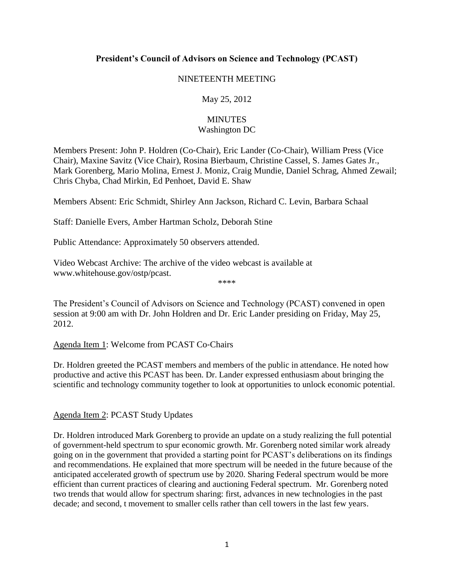# **President's Council of Advisors on Science and Technology (PCAST)**

#### NINETEENTH MEETING

## May 25, 2012

## **MINUTES** Washington DC

Members Present: John P. Holdren (Co‐Chair), Eric Lander (Co‐Chair), William Press (Vice Chair), Maxine Savitz (Vice Chair), Rosina Bierbaum, Christine Cassel, S. James Gates Jr., Mark Gorenberg, Mario Molina, Ernest J. Moniz, Craig Mundie, Daniel Schrag, Ahmed Zewail; Chris Chyba, Chad Mirkin, Ed Penhoet, David E. Shaw

Members Absent: Eric Schmidt, Shirley Ann Jackson, Richard C. Levin, Barbara Schaal

Staff: Danielle Evers, Amber Hartman Scholz, Deborah Stine

Public Attendance: Approximately 50 observers attended.

Video Webcast Archive: The archive of the video webcast is available at [www.whitehouse.gov/ostp/pcast.](http://www.whitehouse.gov/ostp/pcast)

The President's Council of Advisors on Science and Technology (PCAST) convened in open session at 9:00 am with Dr. John Holdren and Dr. Eric Lander presiding on Friday, May 25, 2012.

\*\*\*\*

### Agenda Item 1: Welcome from PCAST Co‐Chairs

Dr. Holdren greeted the PCAST members and members of the public in attendance. He noted how productive and active this PCAST has been. Dr. Lander expressed enthusiasm about bringing the scientific and technology community together to look at opportunities to unlock economic potential.

### Agenda Item 2: PCAST Study Updates

Dr. Holdren introduced Mark Gorenberg to provide an update on a study realizing the full potential of government-held spectrum to spur economic growth. Mr. Gorenberg noted similar work already going on in the government that provided a starting point for PCAST's deliberations on its findings and recommendations. He explained that more spectrum will be needed in the future because of the anticipated accelerated growth of spectrum use by 2020. Sharing Federal spectrum would be more efficient than current practices of clearing and auctioning Federal spectrum. Mr. Gorenberg noted two trends that would allow for spectrum sharing: first, advances in new technologies in the past decade; and second, t movement to smaller cells rather than cell towers in the last few years.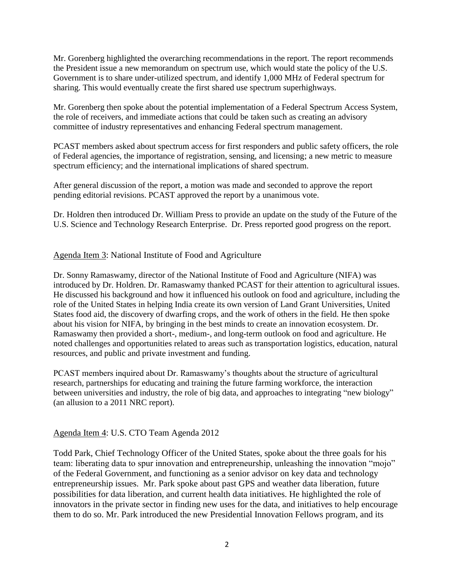Mr. Gorenberg highlighted the overarching recommendations in the report. The report recommends the President issue a new memorandum on spectrum use, which would state the policy of the U.S. Government is to share under-utilized spectrum, and identify 1,000 MHz of Federal spectrum for sharing. This would eventually create the first shared use spectrum superhighways.

Mr. Gorenberg then spoke about the potential implementation of a Federal Spectrum Access System, the role of receivers, and immediate actions that could be taken such as creating an advisory committee of industry representatives and enhancing Federal spectrum management.

PCAST members asked about spectrum access for first responders and public safety officers, the role of Federal agencies, the importance of registration, sensing, and licensing; a new metric to measure spectrum efficiency; and the international implications of shared spectrum.

After general discussion of the report, a motion was made and seconded to approve the report pending editorial revisions. PCAST approved the report by a unanimous vote.

Dr. Holdren then introduced Dr. William Press to provide an update on the study of the Future of the U.S. Science and Technology Research Enterprise. Dr. Press reported good progress on the report.

# Agenda Item 3: National Institute of Food and Agriculture

Dr. Sonny Ramaswamy, director of the National Institute of Food and Agriculture (NIFA) was introduced by Dr. Holdren. Dr. Ramaswamy thanked PCAST for their attention to agricultural issues. He discussed his background and how it influenced his outlook on food and agriculture, including the role of the United States in helping India create its own version of Land Grant Universities, United States food aid, the discovery of dwarfing crops, and the work of others in the field. He then spoke about his vision for NIFA, by bringing in the best minds to create an innovation ecosystem. Dr. Ramaswamy then provided a short-, medium-, and long-term outlook on food and agriculture. He noted challenges and opportunities related to areas such as transportation logistics, education, natural resources, and public and private investment and funding.

PCAST members inquired about Dr. Ramaswamy's thoughts about the structure of agricultural research, partnerships for educating and training the future farming workforce, the interaction between universities and industry, the role of big data, and approaches to integrating "new biology" (an allusion to a 2011 NRC report).

### Agenda Item 4: U.S. CTO Team Agenda 2012

Todd Park, Chief Technology Officer of the United States, spoke about the three goals for his team: liberating data to spur innovation and entrepreneurship, unleashing the innovation "mojo" of the Federal Government, and functioning as a senior advisor on key data and technology entrepreneurship issues. Mr. Park spoke about past GPS and weather data liberation, future possibilities for data liberation, and current health data initiatives. He highlighted the role of innovators in the private sector in finding new uses for the data, and initiatives to help encourage them to do so. Mr. Park introduced the new Presidential Innovation Fellows program, and its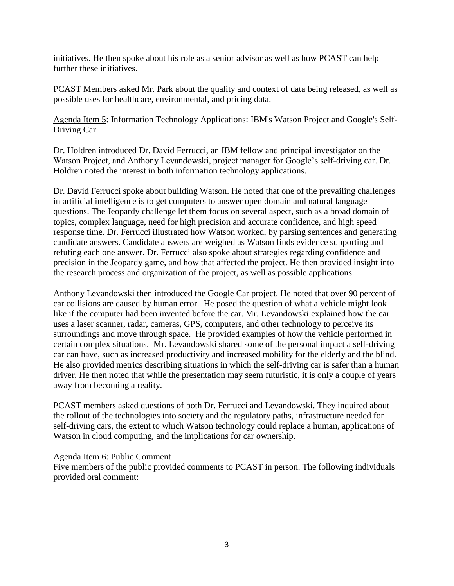initiatives. He then spoke about his role as a senior advisor as well as how PCAST can help further these initiatives.

PCAST Members asked Mr. Park about the quality and context of data being released, as well as possible uses for healthcare, environmental, and pricing data.

Agenda Item 5: Information Technology Applications: IBM's Watson Project and Google's Self-Driving Car

Dr. Holdren introduced Dr. David Ferrucci, an IBM fellow and principal investigator on the Watson Project, and Anthony Levandowski, project manager for Google's self-driving car. Dr. Holdren noted the interest in both information technology applications.

Dr. David Ferrucci spoke about building Watson. He noted that one of the prevailing challenges in artificial intelligence is to get computers to answer open domain and natural language questions. The Jeopardy challenge let them focus on several aspect, such as a broad domain of topics, complex language, need for high precision and accurate confidence, and high speed response time. Dr. Ferrucci illustrated how Watson worked, by parsing sentences and generating candidate answers. Candidate answers are weighed as Watson finds evidence supporting and refuting each one answer. Dr. Ferrucci also spoke about strategies regarding confidence and precision in the Jeopardy game, and how that affected the project. He then provided insight into the research process and organization of the project, as well as possible applications.

Anthony Levandowski then introduced the Google Car project. He noted that over 90 percent of car collisions are caused by human error. He posed the question of what a vehicle might look like if the computer had been invented before the car. Mr. Levandowski explained how the car uses a laser scanner, radar, cameras, GPS, computers, and other technology to perceive its surroundings and move through space. He provided examples of how the vehicle performed in certain complex situations. Mr. Levandowski shared some of the personal impact a self-driving car can have, such as increased productivity and increased mobility for the elderly and the blind. He also provided metrics describing situations in which the self-driving car is safer than a human driver. He then noted that while the presentation may seem futuristic, it is only a couple of years away from becoming a reality.

PCAST members asked questions of both Dr. Ferrucci and Levandowski. They inquired about the rollout of the technologies into society and the regulatory paths, infrastructure needed for self-driving cars, the extent to which Watson technology could replace a human, applications of Watson in cloud computing, and the implications for car ownership.

### Agenda Item 6: Public Comment

Five members of the public provided comments to PCAST in person. The following individuals provided oral comment: